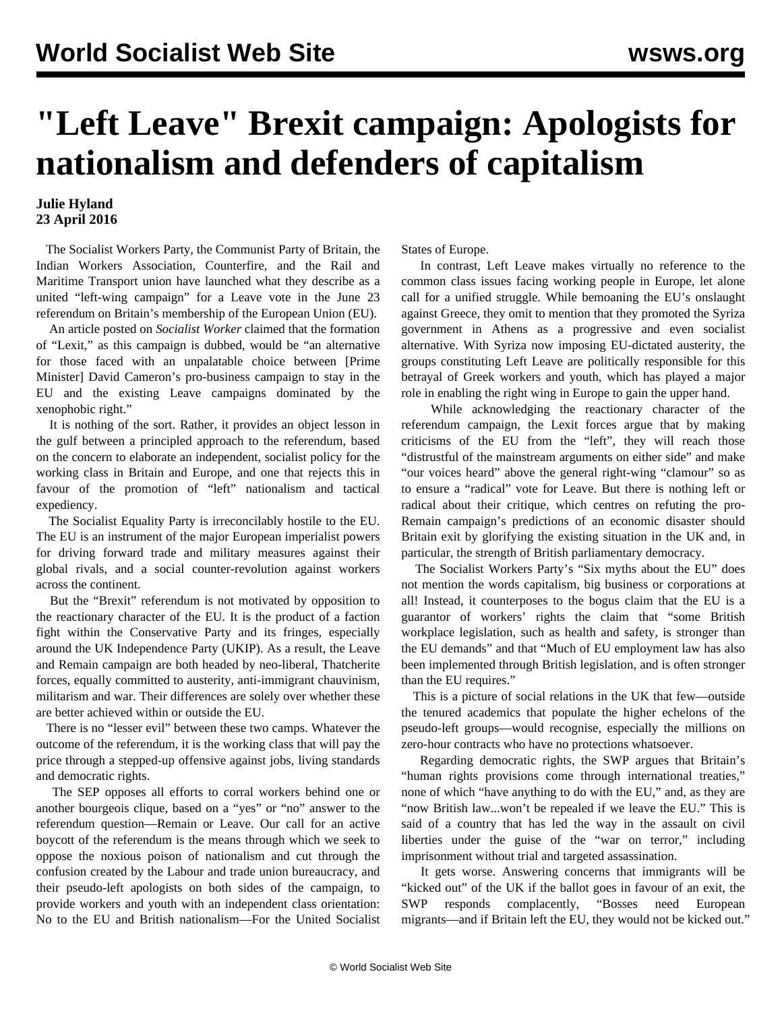## **"Left Leave" Brexit campaign: Apologists for nationalism and defenders of capitalism**

## **Julie Hyland 23 April 2016**

 The Socialist Workers Party, the Communist Party of Britain, the Indian Workers Association, Counterfire, and the Rail and Maritime Transport union have launched what they describe as a united "left-wing campaign" for a Leave vote in the June 23 referendum on Britain's membership of the European Union (EU).

 An article posted on *Socialist Worker* claimed that the formation of "Lexit," as this campaign is dubbed, would be "an alternative for those faced with an unpalatable choice between [Prime Minister] David Cameron's pro-business campaign to stay in the EU and the existing Leave campaigns dominated by the xenophobic right."

 It is nothing of the sort. Rather, it provides an object lesson in the gulf between a principled approach to the referendum, based on the concern to elaborate an independent, socialist policy for the working class in Britain and Europe, and one that rejects this in favour of the promotion of "left" nationalism and tactical expediency.

 The Socialist Equality Party is irreconcilably hostile to the EU. The EU is an instrument of the major European imperialist powers for driving forward trade and military measures against their global rivals, and a social counter-revolution against workers across the continent.

 But the "Brexit" referendum is not motivated by opposition to the reactionary character of the EU. It is the product of a faction fight within the Conservative Party and its fringes, especially around the UK Independence Party (UKIP). As a result, the Leave and Remain campaign are both headed by neo-liberal, Thatcherite forces, equally committed to austerity, anti-immigrant chauvinism, militarism and war. Their differences are solely over whether these are better achieved within or outside the EU.

 There is no "lesser evil" between these two camps. Whatever the outcome of the referendum, it is the working class that will pay the price through a stepped-up offensive against jobs, living standards and democratic rights.

 The SEP opposes all efforts to corral workers behind one or another bourgeois clique, based on a "yes" or "no" answer to the referendum question—Remain or Leave. Our call for an active boycott of the referendum is the means through which we seek to oppose the noxious poison of nationalism and cut through the confusion created by the Labour and trade union bureaucracy, and their pseudo-left apologists on both sides of the campaign, to provide workers and youth with an independent class orientation: No to the EU and British nationalism—For the United Socialist States of Europe.

 In contrast, Left Leave makes virtually no reference to the common class issues facing working people in Europe, let alone call for a unified struggle. While bemoaning the EU's onslaught against Greece, they omit to mention that they promoted the Syriza government in Athens as a progressive and even socialist alternative. With Syriza now imposing EU-dictated austerity, the groups constituting Left Leave are politically responsible for this betrayal of Greek workers and youth, which has played a major role in enabling the right wing in Europe to gain the upper hand.

 While acknowledging the reactionary character of the referendum campaign, the Lexit forces argue that by making criticisms of the EU from the "left", they will reach those "distrustful of the mainstream arguments on either side" and make "our voices heard" above the general right-wing "clamour" so as to ensure a "radical" vote for Leave. But there is nothing left or radical about their critique, which centres on refuting the pro-Remain campaign's predictions of an economic disaster should Britain exit by glorifying the existing situation in the UK and, in particular, the strength of British parliamentary democracy.

 The Socialist Workers Party's "Six myths about the EU" does not mention the words capitalism, big business or corporations at all! Instead, it counterposes to the bogus claim that the EU is a guarantor of workers' rights the claim that "some British workplace legislation, such as health and safety, is stronger than the EU demands" and that "Much of EU employment law has also been implemented through British legislation, and is often stronger than the EU requires."

 This is a picture of social relations in the UK that few—outside the tenured academics that populate the higher echelons of the pseudo-left groups—would recognise, especially the millions on zero-hour contracts who have no protections whatsoever.

 Regarding democratic rights, the SWP argues that Britain's "human rights provisions come through international treaties," none of which "have anything to do with the EU," and, as they are "now British law...won't be repealed if we leave the EU." This is said of a country that has led the way in the assault on civil liberties under the guise of the "war on terror," including imprisonment without trial and targeted assassination.

 It gets worse. Answering concerns that immigrants will be "kicked out" of the UK if the ballot goes in favour of an exit, the SWP responds complacently, "Bosses need European migrants—and if Britain left the EU, they would not be kicked out."